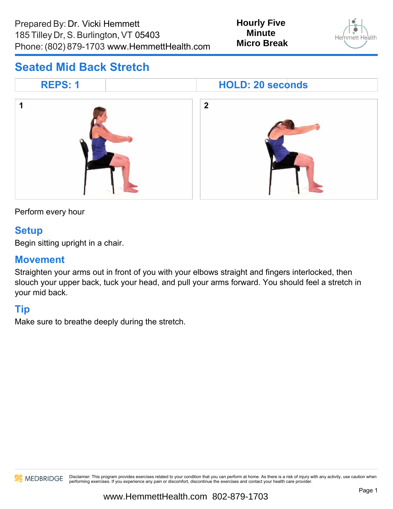

## **Seated Mid Back Stretch**



Perform every hour

#### **Setup**

Begin sitting upright in a chair.

### **Movement**

Straighten your arms out in front of you with your elbows straight and fingers interlocked, then slouch your upper back, tuck your head, and pull your arms forward. You should feel a stretch in your mid back.

## **Tip**

Make sure to breathe deeply during the stretch.

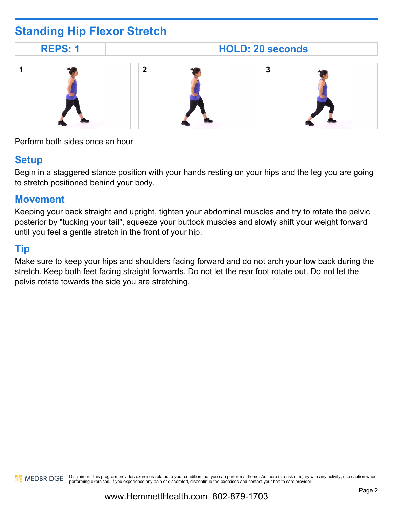# **Standing Hip Flexor Stretch**

**REPS: 1 HOLD: 20 seconds**



Perform both sides once an hour

## **Setup**

Begin in a staggered stance position with your hands resting on your hips and the leg you are going to stretch positioned behind your body.

#### **Movement**

Keeping your back straight and upright, tighten your abdominal muscles and try to rotate the pelvic posterior by "tucking your tail", squeeze your buttock muscles and slowly shift your weight forward until you feel a gentle stretch in the front of your hip.

## **Tip**

Make sure to keep your hips and shoulders facing forward and do not arch your low back during the stretch. Keep both feet facing straight forwards. Do not let the rear foot rotate out. Do not let the pelvis rotate towards the side you are stretching.

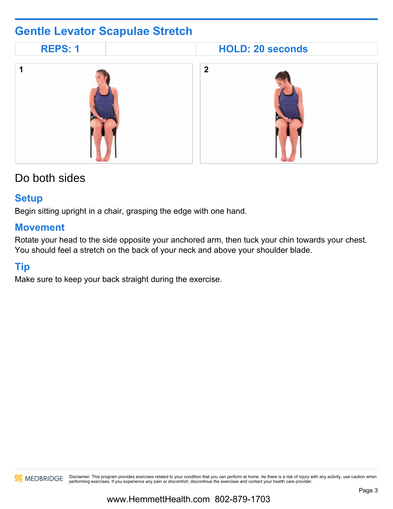# **Gentle Levator Scapulae Stretch**

| <b>REPS: 1</b> | <b>HOLD: 20 seconds</b> |  |
|----------------|-------------------------|--|
|                | $\overline{2}$          |  |

# Do both sides

#### **Setup**

Begin sitting upright in a chair, grasping the edge with one hand.

#### **Movement**

Rotate your head to the side opposite your anchored arm, then tuck your chin towards your chest. You should feel a stretch on the back of your neck and above your shoulder blade.

## **Tip**

Make sure to keep your back straight during the exercise.

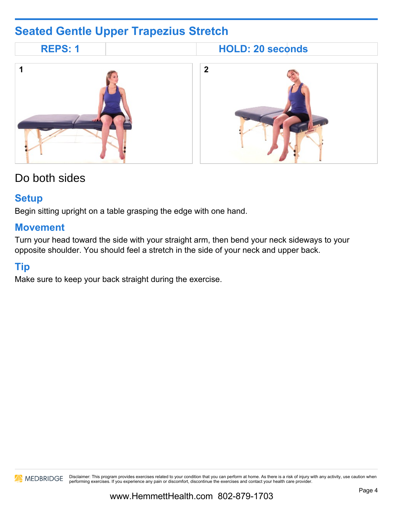# **Seated Gentle Upper Trapezius Stretch**



# Do both sides

#### **Setup**

Begin sitting upright on a table grasping the edge with one hand.

#### **Movement**

Turn your head toward the side with your straight arm, then bend your neck sideways to your opposite shoulder. You should feel a stretch in the side of your neck and upper back.

## **Tip**

Make sure to keep your back straight during the exercise.

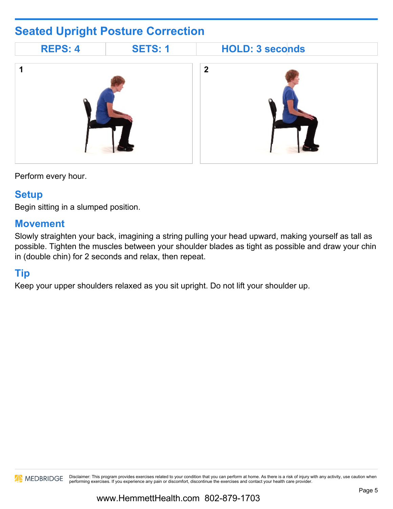# **Seated Upright Posture Correction**



Perform every hour.

#### **Setup**

Begin sitting in a slumped position.

#### **Movement**

Slowly straighten your back, imagining a string pulling your head upward, making yourself as tall as possible. Tighten the muscles between your shoulder blades as tight as possible and draw your chin in (double chin) for 2 seconds and relax, then repeat.

### **Tip**

Keep your upper shoulders relaxed as you sit upright. Do not lift your shoulder up.

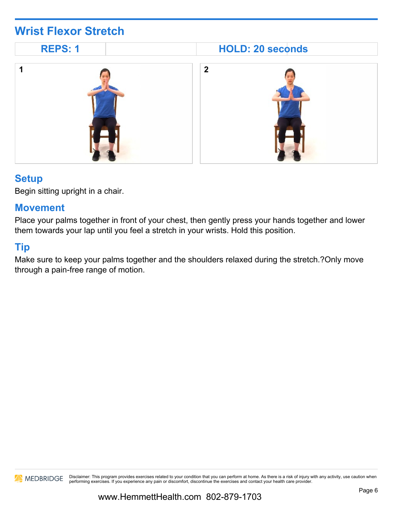# **Wrist Flexor Stretch**



### **Setup**

Begin sitting upright in a chair.

#### **Movement**

Place your palms together in front of your chest, then gently press your hands together and lower them towards your lap until you feel a stretch in your wrists. Hold this position.

### **Tip**

Make sure to keep your palms together and the shoulders relaxed during the stretch.?Only move through a pain-free range of motion.